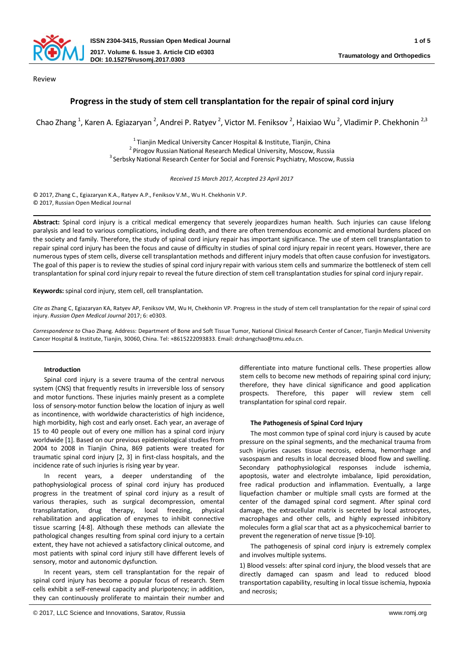

Review

# **Progress in the study of stem cell transplantation for the repair of spinal cord injury**

Chao Zhang <sup>1</sup>, Karen A. Egiazaryan <sup>2</sup>, Andrei P. Ratyev <sup>2</sup>, Victor M. Feniksov <sup>2</sup>, Haixiao Wu <sup>2</sup>, Vladimir P. Chekhonin <sup>2,3</sup>

<sup>1</sup> Tianjin Medical University Cancer Hospital & Institute, Tianjin, China<br><sup>2</sup> Pirogov Russian National Research Medical University, Moscow, Russia<br><sup>3</sup> Serbsky National Research Center for Social and Forensic Psychiatry,

*Received 15 March 2017, Accepted 23 April 2017*

© 2017, Zhang C., Egiazaryan K.A., Ratyev A.P., Feniksov V.M., Wu H. Chekhonin V.P. © 2017, Russian Open Medical Journal

**Abstract:** Spinal cord injury is a critical medical emergency that severely jeopardizes human health. Such injuries can cause lifelong paralysis and lead to various complications, including death, and there are often tremendous economic and emotional burdens placed on the society and family. Therefore, the study of spinal cord injury repair has important significance. The use of stem cell transplantation to repair spinal cord injury has been the focus and cause of difficulty in studies of spinal cord injury repair in recent years. However, there are numerous types of stem cells, diverse cell transplantation methods and different injury models that often cause confusion for investigators. The goal of this paper is to review the studies of spinal cord injury repair with various stem cells and summarize the bottleneck of stem cell transplantation for spinal cord injury repair to reveal the future direction of stem cell transplantation studies for spinal cord injury repair.

**Keywords:** spinal cord injury, stem cell, cell transplantation.

*Cite as* Zhang C, Egiazaryan KA, Ratyev AP, Feniksov VM, Wu H, Chekhonin VP. Progress in the study of stem cell transplantation for the repair of spinal cord injury. *Russian Open Medical Journal* 2017; 6: e0303.

*Correspondence to* Chao Zhang. Address: Department of Bone and Soft Tissue Tumor, National Clinical Research Center of Cancer, Tianjin Medical University Cancer Hospital & Institute, Tianjin, 30060, China. Tel: +8615222093833. Email: drzhangchao@tmu.edu.cn.

## **Introduction**

Spinal cord injury is a severe trauma of the central nervous system (CNS) that frequently results in irreversible loss of sensory and motor functions. These injuries mainly present as a complete loss of sensory-motor function below the location of injury as well as incontinence, with worldwide characteristics of high incidence, high morbidity, high cost and early onset. Each year, an average of 15 to 40 people out of every one million has a spinal cord injury worldwide [1]. Based on our previous epidemiological studies from 2004 to 2008 in Tianjin China, 869 patients were treated for traumatic spinal cord injury [2, 3] in first-class hospitals, and the incidence rate of such injuries is rising year by year.

In recent years, a deeper understanding of the pathophysiological process of spinal cord injury has produced progress in the treatment of spinal cord injury as a result of various therapies, such as surgical decompression, omental transplantation, drug therapy, local freezing, physical rehabilitation and application of enzymes to inhibit connective tissue scarring [4-8]. Although these methods can alleviate the pathological changes resulting from spinal cord injury to a certain extent, they have not achieved a satisfactory clinical outcome, and most patients with spinal cord injury still have different levels of sensory, motor and autonomic dysfunction.

In recent years, stem cell transplantation for the repair of spinal cord injury has become a popular focus of research. Stem cells exhibit a self-renewal capacity and pluripotency; in addition, they can continuously proliferate to maintain their number and

differentiate into mature functional cells. These properties allow stem cells to become new methods of repairing spinal cord injury; therefore, they have clinical significance and good application prospects. Therefore, this paper will review stem cell transplantation for spinal cord repair.

## **The Pathogenesis of Spinal Cord Injury**

The most common type of spinal cord injury is caused by acute pressure on the spinal segments, and the mechanical trauma from such injuries causes tissue necrosis, edema, hemorrhage and vasospasm and results in local decreased blood flow and swelling. Secondary pathophysiological responses include ischemia, apoptosis, water and electrolyte imbalance, lipid peroxidation, free radical production and inflammation. Eventually, a large liquefaction chamber or multiple small cysts are formed at the center of the damaged spinal cord segment. After spinal cord damage, the extracellular matrix is secreted by local astrocytes, macrophages and other cells, and highly expressed inhibitory molecules form a glial scar that act as a physicochemical barrier to prevent the regeneration of nerve tissue [9-10].

The pathogenesis of spinal cord injury is extremely complex and involves multiple systems.

1) Blood vessels: after spinal cord injury, the blood vessels that are directly damaged can spasm and lead to reduced blood transportation capability, resulting in local tissue ischemia, hypoxia and necrosis;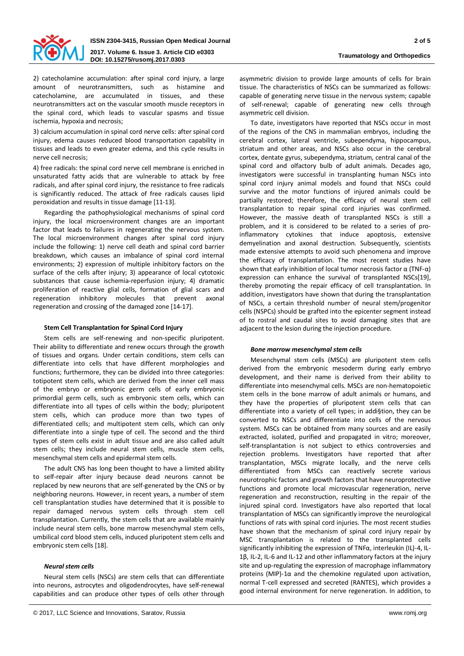

2) catecholamine accumulation: after spinal cord injury, a large amount of neurotransmitters, such as histamine and catecholamine, are accumulated in tissues, and these neurotransmitters act on the vascular smooth muscle receptors in the spinal cord, which leads to vascular spasms and tissue ischemia, hypoxia and necrosis;

3) calcium accumulation in spinal cord nerve cells: after spinal cord injury, edema causes reduced blood transportation capability in tissues and leads to even greater edema, and this cycle results in nerve cell necrosis;

4) free radicals: the spinal cord nerve cell membrane is enriched in unsaturated fatty acids that are vulnerable to attack by free radicals, and after spinal cord injury, the resistance to free radicals is significantly reduced. The attack of free radicals causes lipid peroxidation and results in tissue damage [11-13].

Regarding the pathophysiological mechanisms of spinal cord injury, the local microenvironment changes are an important factor that leads to failures in regenerating the nervous system. The local microenvironment changes after spinal cord injury include the following: 1) nerve cell death and spinal cord barrier breakdown, which causes an imbalance of spinal cord internal environments; 2) expression of multiple inhibitory factors on the surface of the cells after injury; 3) appearance of local cytotoxic substances that cause ischemia-reperfusion injury; 4) dramatic proliferation of reactive glial cells, formation of glial scars and regeneration inhibitory molecules that prevent axonal regeneration and crossing of the damaged zone [14-17].

## **Stem Cell Transplantation for Spinal Cord Injury**

Stem cells are self-renewing and non-specific pluripotent. Their ability to differentiate and renew occurs through the growth of tissues and organs. Under certain conditions, stem cells can differentiate into cells that have different morphologies and functions; furthermore, they can be divided into three categories: totipotent stem cells, which are derived from the inner cell mass of the embryo or embryonic germ cells of early embryonic primordial germ cells, such as embryonic stem cells, which can differentiate into all types of cells within the body; pluripotent stem cells, which can produce more than two types of differentiated cells; and multipotent stem cells, which can only differentiate into a single type of cell. The second and the third types of stem cells exist in adult tissue and are also called adult stem cells; they include neural stem cells, muscle stem cells, mesenchymal stem cells and epidermal stem cells.

The adult CNS has long been thought to have a limited ability to self-repair after injury because dead neurons cannot be replaced by new neurons that are self-generated by the CNS or by neighboring neurons. However, in recent years, a number of stem cell transplantation studies have determined that it is possible to repair damaged nervous system cells through stem cell transplantation. Currently, the stem cells that are available mainly include neural stem cells, bone marrow mesenchymal stem cells, umbilical cord blood stem cells, induced pluripotent stem cells and embryonic stem cells [18].

#### *Neural stem cells*

Neural stem cells (NSCs) are stem cells that can differentiate into neurons, astrocytes and oligodendrocytes, have self-renewal capabilities and can produce other types of cells other through

asymmetric division to provide large amounts of cells for brain tissue. The characteristics of NSCs can be summarized as follows: capable of generating nerve tissue in the nervous system; capable of self-renewal; capable of generating new cells through asymmetric cell division.

To date, investigators have reported that NSCs occur in most of the regions of the CNS in mammalian embryos, including the cerebral cortex, lateral ventricle, subependyma, hippocampus, striatum and other areas, and NSCs also occur in the cerebral cortex, dentate gyrus, subependyma, striatum, central canal of the spinal cord and olfactory bulb of adult animals. Decades ago, investigators were successful in transplanting human NSCs into spinal cord injury animal models and found that NSCs could survive and the motor functions of injured animals could be partially restored; therefore, the efficacy of neural stem cell transplantation to repair spinal cord injuries was confirmed. However, the massive death of transplanted NSCs is still a problem, and it is considered to be related to a series of proinflammatory cytokines that induce apoptosis, extensive demyelination and axonal destruction. Subsequently, scientists made extensive attempts to avoid such phenomena and improve the efficacy of transplantation. The most recent studies have shown that early inhibition of local tumor necrosis factor  $\alpha$  (TNF- $\alpha$ ) expression can enhance the survival of transplanted NSCs[19], thereby promoting the repair efficacy of cell transplantation. In addition, investigators have shown that during the transplantation of NSCs, a certain threshold number of neural stem/progenitor cells (NSPCs) should be grafted into the epicenter segment instead of to rostral and caudal sites to avoid damaging sites that are adjacent to the lesion during the injection procedure.

#### *Bone marrow mesenchymal stem cells*

Mesenchymal stem cells (MSCs) are pluripotent stem cells derived from the embryonic mesoderm during early embryo development, and their name is derived from their ability to differentiate into mesenchymal cells. MSCs are non-hematopoietic stem cells in the bone marrow of adult animals or humans, and they have the properties of pluripotent stem cells that can differentiate into a variety of cell types; in addi§tion, they can be converted to NSCs and differentiate into cells of the nervous system. MSCs can be obtained from many sources and are easily extracted, isolated, purified and propagated in vitro; moreover, self-transplantation is not subject to ethics controversies and rejection problems. Investigators have reported that after transplantation, MSCs migrate locally, and the nerve cells differentiated from MSCs can reactively secrete various neurotrophic factors and growth factors that have neuroprotective functions and promote local microvascular regeneration, nerve regeneration and reconstruction, resulting in the repair of the injured spinal cord. Investigators have also reported that local transplantation of MSCs can significantly improve the neurological functions of rats with spinal cord injuries. The most recent studies have shown that the mechanism of spinal cord injury repair by MSC transplantation is related to the transplanted cells significantly inhibiting the expression of TNFα, interleukin (IL)-4, IL-1β, IL-2, IL-6 and IL-12 and other inflammatory factors at the injury site and up-regulating the expression of macrophage inflammatory proteins (MIP)-1 $\alpha$  and the chemokine regulated upon activation, normal T-cell expressed and secreted (RANTES), which provides a good internal environment for nerve regeneration. In addition, to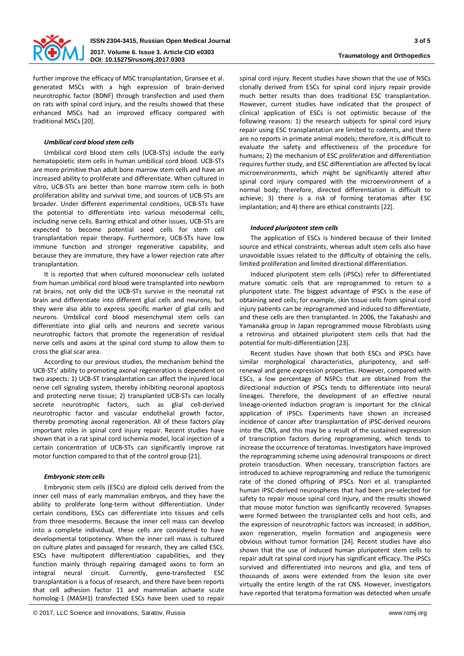

further improve the efficacy of MSC transplantation, Gransee et al. generated MSCs with a high expression of brain-derived neurotrophic factor (BDNF) through transfection and used them on rats with spinal cord injury, and the results showed that these enhanced MSCs had an improved efficacy compared with traditional MSCs [20].

## *Umbilical cord blood stem cells*

Umbilical cord blood stem cells (UCB-STs) include the early hematopoietic stem cells in human umbilical cord blood. UCB-STs are more primitive than adult bone marrow stem cells and have an increased ability to proliferate and differentiate. When cultured in vitro, UCB-STs are better than bone marrow stem cells in both proliferation ability and survival time, and sources of UCB-STs are broader. Under different experimental conditions, UCB-STs have the potential to differentiate into various mesodermal cells, including nerve cells. Barring ethical and other issues, UCB-STs are expected to become potential seed cells for stem cell transplantation repair therapy. Furthermore, UCB-STs have low immune function and stronger regenerative capability, and because they are immature, they have a lower rejection rate after transplantation.

It is reported that when cultured mononuclear cells isolated from human umbilical cord blood were transplanted into newborn rat brains, not only did the UCB-STs survive in the neonatal rat brain and differentiate into different glial cells and neurons, but they were also able to express specific marker of glial cells and neurons. Umbilical cord blood mesenchymal stem cells can differentiate into glial cells and neurons and secrete various neurotrophic factors that promote the regeneration of residual nerve cells and axons at the spinal cord stump to allow them to cross the glial scar area.

According to our previous studies, the mechanism behind the UCB-STs' ability to promoting axonal regeneration is dependent on two aspects: 1) UCB-ST transplantation can affect the injured local nerve cell signaling system, thereby inhibiting neuronal apoptosis and protecting nerve tissue; 2) transplanted UCB-STs can locally secrete neurotrophic factors, such as glial cell-derived neurotrophic factor and vascular endothelial growth factor, thereby promoting axonal regeneration. All of these factors play important roles in spinal cord injury repair. Recent studies have shown that in a rat spinal cord ischemia model, local injection of a certain concentration of UCB-STs can significantly improve rat motor function compared to that of the control group [21].

#### *Embryonic stem cells*

Embryonic stem cells (ESCs) are diploid cells derived from the inner cell mass of early mammalian embryos, and they have the ability to proliferate long-term without differentiation. Under certain conditions, ESCs can differentiate into tissues and cells from three mesoderms. Because the inner cell mass can develop into a complete individual, these cells are considered to have developmental totipotency. When the inner cell mass is cultured on culture plates and passaged for research, they are called ESCs. ESCs have multipotent differentiation capabilities, and they function mainly through repairing damaged axons to form an integral neural circuit. Currently, gene-transfected ESC transplantation is a focus of research, and there have been reports that cell adhesion factor 11 and mammalian achaete scute homolog-1 (MASH1) transfected ESCs have been used to repair

spinal cord injury. Recent studies have shown that the use of NSCs clonally derived from ESCs for spinal cord injury repair provide much better results than does traditional ESC transplantation. However, current studies have indicated that the prospect of clinical application of ESCs is not optimistic because of the following reasons: 1) the research subjects for spinal cord injury repair using ESC transplantation are limited to rodents, and there are no reports in primate animal models; therefore, it is difficult to evaluate the safety and effectiveness of the procedure for humans; 2) the mechanism of ESC proliferation and differentiation requires further study, and ESC differentiation are affected by local microenvironments, which might be significantly altered after spinal cord injury compared with the microenvironment of a normal body; therefore, directed differentiation is difficult to achieve; 3) there is a risk of forming teratomas after ESC implantation; and 4) there are ethical constraints [22].

## *Induced pluripotent stem cells*

The application of ESCs is hindered because of their limited source and ethical constraints, whereas adult stem cells also have unavoidable issues related to the difficulty of obtaining the cells, limited proliferation and limited directional differentiation.

Induced pluripotent stem cells (iPSCs) refer to differentiated mature somatic cells that are reprogrammed to return to a pluripotent state. The biggest advantage of iPSCs is the ease of obtaining seed cells; for example, skin tissue cells from spinal cord injury patients can be reprogrammed and induced to differentiate, and these cells are then transplanted. In 2006, the Takahashi and Yamanaka group in Japan reprogrammed mouse fibroblasts using a retrovirus and obtained pluripotent stem cells that had the potential for multi-differentiation [23].

Recent studies have shown that both ESCs and iPSCs have similar morphological characteristics, pluripotency, and selfrenewal and gene expression properties. However, compared with ESCs, a low percentage of NSPCs that are obtained from the directional induction of iPSCs tends to differentiate into neural lineages. Therefore, the development of an effective neural lineage-oriented induction program is important for the clinical application of iPSCs. Experiments have shown an increased incidence of cancer after transplantation of iPSC-derived neurons into the CNS, and this may be a result of the sustained expression of transcription factors during reprogramming, which tends to increase the occurrence of teratomas. Investigators have improved the reprogramming scheme using adenoviral transposons or direct protein transduction. When necessary, transcription factors are introduced to achieve reprogramming and reduce the tumorigenic rate of the cloned offspring of iPSCs. Nori et al. transplanted human iPSC-derived neurospheres that had been pre-selected for safety to repair mouse spinal cord injury, and the results showed that mouse motor function was significantly recovered. Synapses were formed between the transplanted cells and host cells, and the expression of neurotrophic factors was increased; in addition, axon regeneration, myelin formation and angiogenesis were obvious without tumor formation [24]. Recent studies have also shown that the use of induced human pluripotent stem cells to repair adult rat spinal cord injury has significant efficacy. The iPSCs survived and differentiated into neurons and glia, and tens of thousands of axons were extended from the lesion site over virtually the entire length of the rat CNS. However, investigators have reported that teratoma formation was detected when unsafe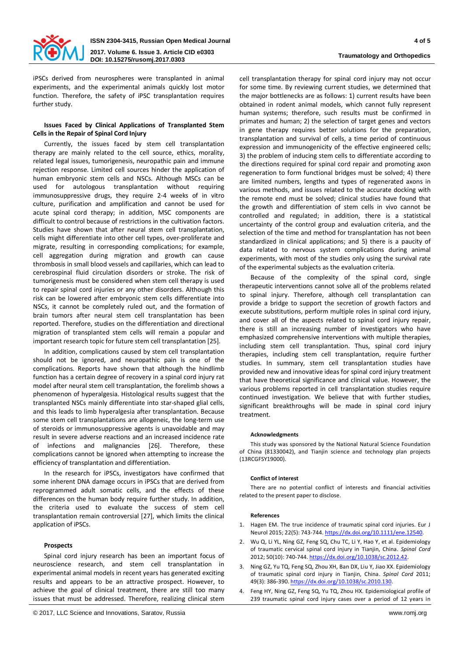

iPSCs derived from neurospheres were transplanted in animal experiments, and the experimental animals quickly lost motor function. Therefore, the safety of iPSC transplantation requires further study.

#### **Issues Faced by Clinical Applications of Transplanted Stem Cells in the Repair of Spinal Cord Injury**

Currently, the issues faced by stem cell transplantation therapy are mainly related to the cell source, ethics, morality, related legal issues, tumorigenesis, neuropathic pain and immune rejection response. Limited cell sources hinder the application of human embryonic stem cells and NSCs. Although MSCs can be used for autologous transplantation without requiring immunosuppressive drugs, they require 2-4 weeks of in vitro culture, purification and amplification and cannot be used for acute spinal cord therapy; in addition, MSC components are difficult to control because of restrictions in the cultivation factors. Studies have shown that after neural stem cell transplantation, cells might differentiate into other cell types, over-proliferate and migrate, resulting in corresponding complications; for example, cell aggregation during migration and growth can cause thrombosis in small blood vessels and capillaries, which can lead to cerebrospinal fluid circulation disorders or stroke. The risk of tumorigenesis must be considered when stem cell therapy is used to repair spinal cord injuries or any other disorders. Although this risk can be lowered after embryonic stem cells differentiate into NSCs, it cannot be completely ruled out, and the formation of brain tumors after neural stem cell transplantation has been reported. Therefore, studies on the differentiation and directional migration of transplanted stem cells will remain a popular and important research topic for future stem cell transplantation [25].

In addition, complications caused by stem cell transplantation should not be ignored, and neuropathic pain is one of the complications. Reports have shown that although the hindlimb function has a certain degree of recovery in a spinal cord injury rat model after neural stem cell transplantation, the forelimb shows a phenomenon of hyperalgesia. Histological results suggest that the transplanted NSCs mainly differentiate into star-shaped glial cells, and this leads to limb hyperalgesia after transplantation. Because some stem cell transplantations are allogeneic, the long-term use of steroids or immunosuppressive agents is unavoidable and may result in severe adverse reactions and an increased incidence rate of infections and malignancies [26]. Therefore, these complications cannot be ignored when attempting to increase the efficiency of transplantation and differentiation.

In the research for iPSCs, investigators have confirmed that some inherent DNA damage occurs in iPSCs that are derived from reprogrammed adult somatic cells, and the effects of these differences on the human body require further study. In addition, the criteria used to evaluate the success of stem cell transplantation remain controversial [27], which limits the clinical application of iPSCs.

#### **Prospects**

Spinal cord injury research has been an important focus of neuroscience research, and stem cell transplantation in experimental animal models in recent years has generated exciting results and appears to be an attractive prospect. However, to achieve the goal of clinical treatment, there are still too many issues that must be addressed. Therefore, realizing clinical stem

cell transplantation therapy for spinal cord injury may not occur for some time. By reviewing current studies, we determined that the major bottlenecks are as follows: 1) current results have been obtained in rodent animal models, which cannot fully represent human systems; therefore, such results must be confirmed in primates and human; 2) the selection of target genes and vectors in gene therapy requires better solutions for the preparation, transplantation and survival of cells, a time period of continuous expression and immunogenicity of the effective engineered cells; 3) the problem of inducing stem cells to differentiate according to the directions required for spinal cord repair and promoting axon regeneration to form functional bridges must be solved; 4) there are limited numbers, lengths and types of regenerated axons in various methods, and issues related to the accurate docking with the remote end must be solved; clinical studies have found that the growth and differentiation of stem cells in vivo cannot be controlled and regulated; in addition, there is a statistical uncertainty of the control group and evaluation criteria, and the selection of the time and method for transplantation has not been standardized in clinical applications; and 5) there is a paucity of data related to nervous system complications during animal experiments, with most of the studies only using the survival rate of the experimental subjects as the evaluation criteria.

Because of the complexity of the spinal cord, single therapeutic interventions cannot solve all of the problems related to spinal injury. Therefore, although cell transplantation can provide a bridge to support the secretion of growth factors and execute substitutions, perform multiple roles in spinal cord injury, and cover all of the aspects related to spinal cord injury repair, there is still an increasing number of investigators who have emphasized comprehensive interventions with multiple therapies, including stem cell transplantation. Thus, spinal cord injury therapies, including stem cell transplantation, require further studies. In summary, stem cell transplantation studies have provided new and innovative ideas for spinal cord injury treatment that have theoretical significance and clinical value. However, the various problems reported in cell transplantation studies require continued investigation. We believe that with further studies, significant breakthroughs will be made in spinal cord injury treatment.

#### **Acknowledgments**

This study was sponsored by the National Natural Science Foundation of China (81330042), and Tianjin science and technology plan projects (13RCGFSY19000).

#### **Conflict of interest**

There are no potential conflict of interests and financial activities related to the present paper to disclose.

#### **References**

- 1. Hagen EM. The true incidence of traumatic spinal cord injuries. Eur J Neurol 2015; 22(5): 743-744[. https://dx.doi.org/10.1111/ene.12540](https://dx.doi.org/10.1111/ene.12540).
- 2. Wu Q, Li YL, Ning GZ, Feng SQ, Chu TC, Li Y, Hao Y, et al. Epidemiology of traumatic cervical spinal cord injury in Tianjin, China. *Spinal Cord*  2012; 50(10): 740-744[. https://dx.doi.org/10.1038/sc.2012.42](https://dx.doi.org/10.1038/sc.2012.42).
- 3. Ning GZ, Yu TQ, Feng SQ, Zhou XH, Ban DX, Liu Y, Jiao XX. Epidemiology of traumatic spinal cord injury in Tianjin, China. *Spinal Cord* 2011; 49(3): 386-390. <https://dx.doi.org/10.1038/sc.2010.130>.
- 4. Feng HY, Ning GZ, Feng SQ, Yu TQ, Zhou HX. Epidemiological profile of 239 traumatic spinal cord injury cases over a period of 12 years in